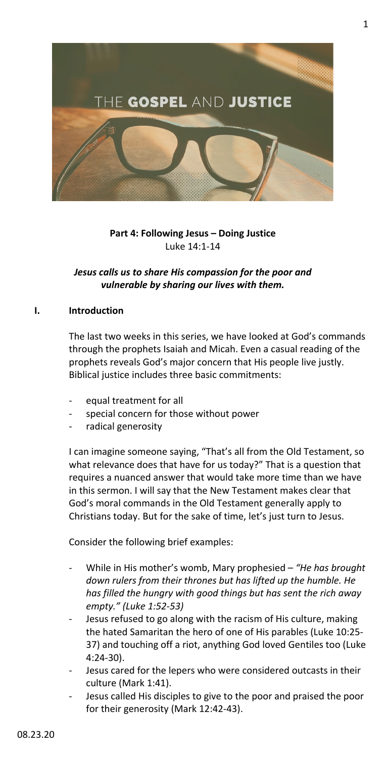

## **Part 4: Following Jesus – Doing Justice** Luke 14:1-14

# *Jesus calls us to share His compassion for the poor and vulnerable by sharing our lives with them.*

## **I. Introduction**

The last two weeks in this series, we have looked at God's commands through the prophets Isaiah and Micah. Even a casual reading of the prophets reveals God's major concern that His people live justly. Biblical justice includes three basic commitments:

- equal treatment for all
- special concern for those without power
- radical generosity

I can imagine someone saying, "That's all from the Old Testament, so what relevance does that have for us today?" That is a question that requires a nuanced answer that would take more time than we have in this sermon. I will say that the New Testament makes clear that God's moral commands in the Old Testament generally apply to Christians today. But for the sake of time, let's just turn to Jesus.

Consider the following brief examples:

- While in His mother's womb, Mary prophesied *"He has brought down rulers from their thrones but has lifted up the humble. He has filled the hungry with good things but has sent the rich away empty." (Luke 1:52-53)*
- Jesus refused to go along with the racism of His culture, making the hated Samaritan the hero of one of His parables (Luke 10:25- 37) and touching off a riot, anything God loved Gentiles too (Luke 4:24-30).
- Jesus cared for the lepers who were considered outcasts in their culture (Mark 1:41).
- Jesus called His disciples to give to the poor and praised the poor for their generosity (Mark 12:42-43).